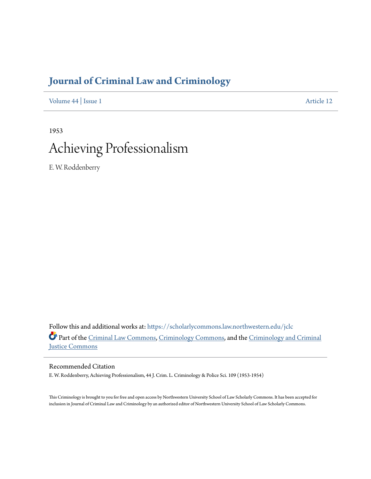# **[Journal of Criminal Law and Criminology](https://scholarlycommons.law.northwestern.edu/jclc?utm_source=scholarlycommons.law.northwestern.edu%2Fjclc%2Fvol44%2Fiss1%2F12&utm_medium=PDF&utm_campaign=PDFCoverPages)**

[Volume 44](https://scholarlycommons.law.northwestern.edu/jclc/vol44?utm_source=scholarlycommons.law.northwestern.edu%2Fjclc%2Fvol44%2Fiss1%2F12&utm_medium=PDF&utm_campaign=PDFCoverPages) | [Issue 1](https://scholarlycommons.law.northwestern.edu/jclc/vol44/iss1?utm_source=scholarlycommons.law.northwestern.edu%2Fjclc%2Fvol44%2Fiss1%2F12&utm_medium=PDF&utm_campaign=PDFCoverPages) [Article 12](https://scholarlycommons.law.northwestern.edu/jclc/vol44/iss1/12?utm_source=scholarlycommons.law.northwestern.edu%2Fjclc%2Fvol44%2Fiss1%2F12&utm_medium=PDF&utm_campaign=PDFCoverPages)

# 1953 Achieving Professionalism

E. W. Roddenberry

Follow this and additional works at: [https://scholarlycommons.law.northwestern.edu/jclc](https://scholarlycommons.law.northwestern.edu/jclc?utm_source=scholarlycommons.law.northwestern.edu%2Fjclc%2Fvol44%2Fiss1%2F12&utm_medium=PDF&utm_campaign=PDFCoverPages) Part of the [Criminal Law Commons](http://network.bepress.com/hgg/discipline/912?utm_source=scholarlycommons.law.northwestern.edu%2Fjclc%2Fvol44%2Fiss1%2F12&utm_medium=PDF&utm_campaign=PDFCoverPages), [Criminology Commons](http://network.bepress.com/hgg/discipline/417?utm_source=scholarlycommons.law.northwestern.edu%2Fjclc%2Fvol44%2Fiss1%2F12&utm_medium=PDF&utm_campaign=PDFCoverPages), and the [Criminology and Criminal](http://network.bepress.com/hgg/discipline/367?utm_source=scholarlycommons.law.northwestern.edu%2Fjclc%2Fvol44%2Fiss1%2F12&utm_medium=PDF&utm_campaign=PDFCoverPages) [Justice Commons](http://network.bepress.com/hgg/discipline/367?utm_source=scholarlycommons.law.northwestern.edu%2Fjclc%2Fvol44%2Fiss1%2F12&utm_medium=PDF&utm_campaign=PDFCoverPages)

## Recommended Citation

E. W. Roddenberry, Achieving Professionalism, 44 J. Crim. L. Criminology & Police Sci. 109 (1953-1954)

This Criminology is brought to you for free and open access by Northwestern University School of Law Scholarly Commons. It has been accepted for inclusion in Journal of Criminal Law and Criminology by an authorized editor of Northwestern University School of Law Scholarly Commons.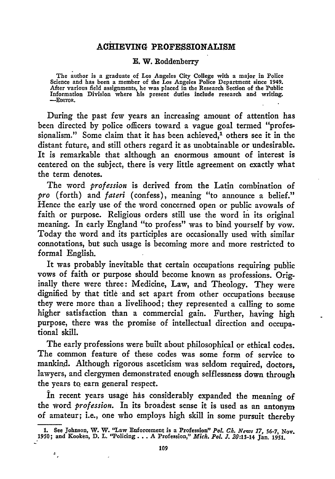### **ACHIEVING PROFESSIONALISM**

#### **E.** W. Roddenberry

The author is a graduate of Los Angeles City College with a major in Police Science and has been a member of the Los Angeles Police Department since 1949. After various field assignments, he was placed in the Research Section of the Public Information Division where his present duties include research and writing. **-EDITOR.**

During the past few years an increasing amount of attention has been directed **by** police officers toward a vague goal termed "professionalism." Some claim that it has been achieved,<sup>1</sup> others see it in the distant future, and still others regard it as unobtainable or undesirable. It is remarkable that although an enormous amount of interest is centered on the subject, there is very little agreement on exactly what the term denotes.

The word *profession* is derived from the Latin combination of *pro* (forth) and *fateri* (confess), meaning **"to** announce a belief." Hence the early use of the word concerned open or public avowals of faith or purpose. Religious orders still use the word in its original meaning. In early England "to profess" was to bind yourself by vow. Today the word and its participles are occasionally used with similar connotations, but such usage is becoming more and more restricted to formal English.

It was probably inevitable that certain occupations requiring public vows of faith or purpose should become known as professions. Originally there were three: Medicine, Law, and Theology. They were dignified **by** that title and set apart from other occupations because they were more than a livelihood; they represented a calling to some higher satisfaction than a commercial gain. Further, having high purpose, there was the promise of intellectual direction and occupational skill.

The early professions were built about philosophical or ethical codes. The common feature of these codes was some form of service to mankind. Although rigorous asceticism was seldom required, doctors, lawyers, and clergymen demonstrated enough selflessness down through the years to earn general respect.

In recent years usage his considerably expanded the meaning of the word *profession.* In its broadest sense it is used as an antonym of amateur; i.e., one who employs high skill in some pursuit thereby

 $\ddot{z}$ 

**<sup>1.</sup>** See Johnson, W. W. "Law Enforcement is a Profession" *PoL Ch. News 17,* **56-7, Nov. 1950; and** Kooken, **D. L. 'olicing... A Profession,"** *Mich. Pol. J. 20:13-14* Jan. **1951.**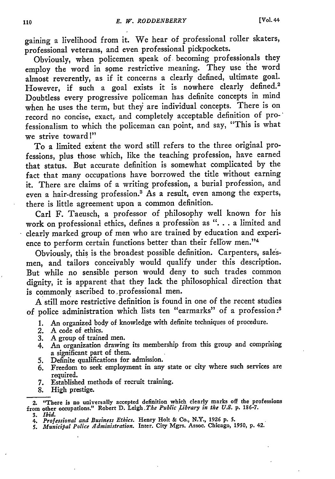gaining a livelihood from it. We hear of professional roller skaters, professional veterans, and even professional pickpockets.

Obviously, when policemen speak of becoming professionals they employ the word in some restrictive meaning. They use the word almost reverently, as if it concerns a clearly defined, ultimate goal. However, if such a goal exists it is nowhere clearly defined.<sup>2</sup> Doubtless every progressive policeman has definite concepts in mind when he uses the term, but they are individual concepts. There is on record no concise, exact, and completely acceptable definition of pro-' fessionalism to which the policeman can point, and say, "This is what we strive toward!"

To a limited extent the word still refers to the three original professions, plus those which, like the teaching profession, have earned that status. But accurate definition is somewhat complicated by the fact that many occupations have borrowed the title without earning it. There are claims of a writing profession, a burial profession, and even a hair-dressing profession.3 As a result, even among the experts, there is little agreement upon a common definition.

Carl F. Taeusch, a professor of philosophy well known for his work on professional ethics, defines a professibn as ". **.** . a limited and clearly marked group of men who are trained by education and experience to perform certain functions better than their fellow men."'4

Obviously, this is the broadest possible definition. Carpenters, salesmen, and tailors conceivably would qualify under this description. But while no sensible person would deny to such trades common dignity, it is apparent that they lack the philosophical direction that is commonly ascribed to professional men.

A still more restrictive definition is found in one of the recent studies of police administration which lists ten "earmarks" of a profession:<sup>5</sup>

- 1. An organized body of knowledge with definite techniques of procedure.
- 2. A code of ethics.
- 3. A group of trained men.
- 4. An organization drawing its membership from this group and comprising a significant part of them.
- 5. Definite qualifications for admission.
- **6.** Freedom to seek employment in any state or city where such services are required.
- 7. Established methods of recruit training.
- **8.** High prestige.

- *3. Ibid. 4. Professional and Business Ethics.* Henry Holt & Co., N.Y., 1926 **p. 5.**
- *5. Municipal Police Administration.* Inter. City **Mgrs.** Assoc. Chicago, **1950, p.** 42.

<sup>2. &</sup>quot;There is no universally accepted definition which clearly marks off the professions from other occupations." Robert **D.** Leigh *.The Public Library in the U.S.* **p. 186-7.**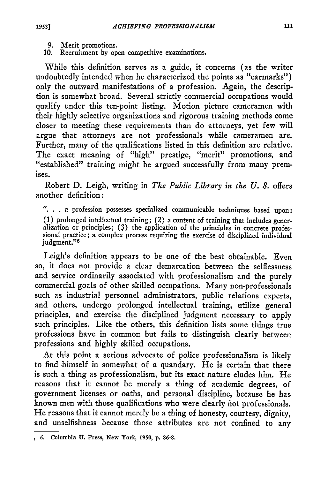- **9.** Merit promotions.
- **10.** Recruitment **by** open competitive examinations.

While this definition serves as a guide, it concerns (as the writer undoubtedly intended when he characterized the points as "earmarks") only the outward manifestations of a profession. Again, the description is somewhat broad. Several strictly commercial occupations would qualify under this ten-point listing. Motion picture cameramen with their **highly** selective organizations and rigorous training methods come closer to meeting these requirements than do attorneys, yet few will argue that attorneys are not professionals while cameramen are. Further, many of the qualifications listed in this definition are relative. The exact meaning of "high" prestige, "merit" promotions, and "established" training might be argued successfully from many premises.

Robert **D.** Leigh, writing in *The Public Library in the U. S.* offers another definition:

**". ..** a profession possesses specialized communicable techniques based upon: **(1)** prolonged intellectual training; (2) a content of training that includes generalization or principles; (3) the application of the principles in concrete profes- sional practice; a complex process requiring the exercise of disciplined individual judgment."<sup>6</sup>

Leigh's definition appears to be one of the best obtainable. Even **so,** it does not provide a clear demarcation between the selflessness and service ordinarily associated with professionalism and the purely commercial goals of other skilled occupations. Many non-professionals such as industrial personnel administrators, public relations experts, and others, undergo prolonged intellectual training, utilize general principles, and exercise the disciplined judgment necessary to apply such principles. Like the others, this definition lists some things true professions have in common but fails to distinguish clearly between professions and highly skilled occupations.

At this point a serious advocate of police professionalism is likely to find himself in somewhat of a quandary. He is certain that there is such a thing as professionalism, but its exact nature eludes him. He reasons that it cannot be merely a thing of academic degrees, of government licenses or oaths, and personal discipline, because he has known men with those qualifications who were clearly not professionals. He reasons that it cannot merely be a thing of honesty, courtesy, dignity, and unselfishness because those attributes are not confined to any

*<sup>,</sup>* **6. Columbia U. Press, New York, 1950, p. 86-8.**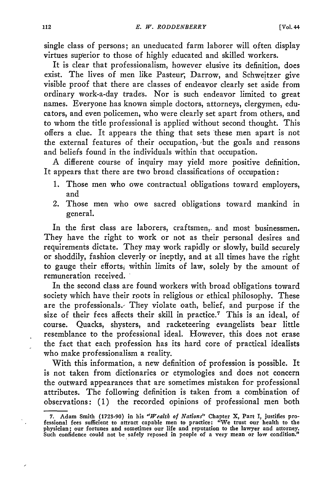single class of persons; an uneducated farm laborer will often display virtues superior to those of highly educated and skilled workers.

It is clear that professionalism, however elusive its definition, does exist. The lives of men like Pasteur, Darrow, and Schweitzer give visible proof that there are classes of endeavor clearly set aside from ordinary work-a-day trades. Nor is such endeavor limited to great names. Everyone has known simple doctors, attorneys, clergymen, educators, and even policemen, who were clearly set apart from others, and to whom the title professional is applied without second thought. This offers a clue. It appears the thing that sets these men apart is not the external features of their occupation, but the goals and reasons and beliefs found in the individuals within that occupation.

A different course of inquiry may yield more positive definition. It appears that there are two broad classifications of occupation:

- **1.** Those men who owe contractual obligations toward employers, and
- 2. Those men who owe sacred obligations toward mankind in general.

In the first class are laborers, craftsmen, and most businessmen. They have the right to work or not as their personal desires and requirements dictate. They may work rapidly or slowly, build securely or shoddily, fashion cleverly or ineptly, and at all times have the right to gauge their efforts, within limits of law, solely by the amount of remuneration received.

In the second class are found workers with broad obligations toward society which have their roots in religious or ethical philosophy. These are the professionals. They violate oath, belief, and purpose if the size of their fees affects their skill in practice.<sup>7</sup> This is an ideal, of course. Quacks, shysters, and racketeering evangelists bear little resemblance to the professional ideal. However, this does not erase the fact that each profession has its hard core of practical idealists who make professionalism a reality.

With this information, a new definition of profession is possible. It is not taken from dictionaries or etymologies and does not concern the outward appearances that are sometimes mistaken for professional attributes. The following definition is taken from a combination of observations: **(1)** the recorded opinions of professional men both

**<sup>7.</sup>** Adam Smith **(1723-90) in** his *"Wealth of Nations"* **Chapter** X, **Part** I, justifies **pro**fessional fees sufficient to attract capable men to practice: "We trust our health to the<br>physician: our fortunes and sometimes our life and reputation to the lawyer and attorney. Such confidence **could not** be safely reposed in people **of a** very mean **or low** condition."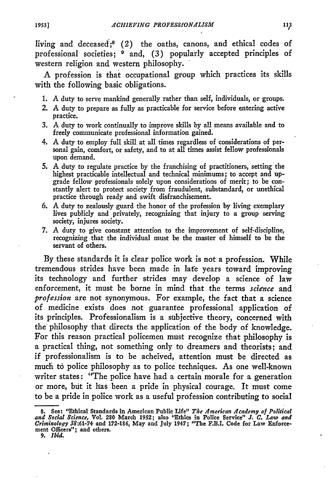living and deceased;<sup>8</sup> (2) the oaths, canons, and ethical codes of professional societies; **9** and, (3) popularly accepted principles of western religion and western philosophy.

A profession is that occupational group which practices its skills with the following basic obligations.

- **1. A** duty to serve mankind generally rather than self, individuals, or groups.
- 2. A duty to prepare as fully as practicable for service before entering active practice.
- 3. A duty to work continually to improve skills by all means available and to freely communicate professional information gained.
- 4. **A** duty to employ full skill at all times regardless of considerations of per- sonal gain, comfort, or safety, and to at all times assist fellow professionals upon demand.
- 5. **A** duty to regulate practice by the franchising of practitioners, setting the highest practicable intellectual and technical minimums; to accept and up- grade fellow professionals solely upon considerations of merit; to be constantly alert to protect society from fraudulent, substandard, or unethical practice through ready and swift disfranchisement.
- 6. **A** duty to zealously guard the honor of the profession by living exemplary lives publicly and privately, recognizing that injury to a group serving society, injures society.
- 7. **A** duty to give constant attention to the improvement of self-discipline, recognizing that the individual must be the master of himself to be the servant of others.

By these standards it is clear police work is not a profession. While tremendous strides have been made in late years toward improving its technology and further strides may develop a science of law enforcement, it must be borne in mind that the terms *science* and *profession* are not synonymous. For example, the fact that a science of medicine exists does not guarantee professional application of its principles. Professionalism is a subjective theory, concerned with the philosophy that directs the application of the body of knowledge. For this reason practical policemen must recognize that philosophy is a practical thing, not something only to dreamers and theorists; and if professionalism is to be acheived, attention must be directed as much to police philosophy as to police techniques. As one well-known writer states: "The police have had a certain morale for a generation or more, but it has been a pride in physical courage. It must come to be a pride in police work as a useful profession contributing to social

**<sup>8.</sup>** See: 'Ethical Standards in American Public Life" *The American Academy of Political and Social Science,* Vol. 280 March **1952;** also "Ethics in Police Service" *J. C. Law and Criminology* 38:61-74 and 172-186, May and July 1947; "The F.B.I. Code for Law Enforcement Officers"; and others.

*<sup>9.</sup> Ibid.*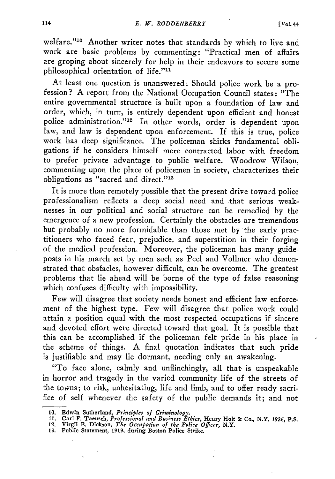welfare."<sup>10</sup> Another writer notes that standards by which to live and work are basic problems by commenting: "Practical men of affairs are groping about sincerely for help in their endeavors to secure some philosophical orientation of life."11

At least one question is unanswered: Should police work be a profession? A report from the National Occupation Council states: "The entire governmental structure is built upon a foundation of law and order, which, in turn, is entirely dependent upon efficient and honest police administration."<sup>12</sup> In other words, order is dependent upon law, and law is dependent upon enforcement. If this is true, police work has deep significance. The policeman shirks fundamental obligations if he considers himself mere contracted labor with freedom to prefer private advantage to public welfare. Woodrow Wilson, commenting upon the place of policemen in society, characterizes their obligations as "sacred and direct."<sup>13</sup>

It is more than remotely possible that the present drive toward police professionalism reflects a deep social need and that serious weaknesses in our political and social structure can be remedied by the emergence of a new profession. Certainly the obstacles are tremendous but probably no more formidable than those met by the early practitioners who faced fear, prejudice, and superstition in their forging of the medical profession. Moreover, the policeman has many guideposts in his march set by men such as Peel and Vollmer who demonstrated that obsfacles, however difficult, can be overcome. The greatest problems that lie ahead will be borne of the type of false reasoning which confuses difficulty with impossibility.

Few will disagree that society needs honest and efficient law enforcement of the highest type. Few will disagree that police work could attain a position equal with the most respected occupations if sincere and devoted effort were directed toward that goal. It is possible that this can be accomplished if the policeman felt pride in his place in the scheme of things. A final quotation indicates that such pride is justifiable and may lie dormant, needing only an awakening.

"To face alone, calmly and unflinchingly, all that is unspeakable in horror and tragedy in the varied community life of the streets of the towns; to risk, unhesitating, life and limb, and to offer ready sacrifice of self whenever the safety of the public demands it; and not

**<sup>10.</sup> Edwin Sutherland,** *Principles of Criminology.*

**<sup>11.</sup> Carl F. Taeusch,** *Professional and Business Ethics,* **Henry Holt & Co., N.Y. 1926, P.S. 12. Virgil E. Dickson,** *The Occupation of the Police Officer, N.Y.*

**<sup>13.</sup> Public Statement, 1919, during Boston Police Strike.**